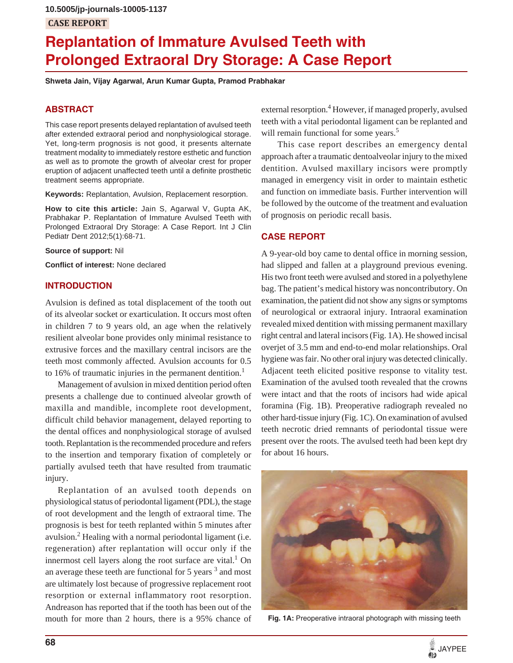**10.5005/jp-journals-10005-1137**

# **CASE REPORT**

# **Replantation of Immature Avulsed Teeth with Prolonged Extraoral Dry Storage: A Case Report**

**Shweta Jain, Vijay Agarwal, Arun Kumar Gupta, Pramod Prabhakar**

# **ABSTRACT**

This case report presents delayed replantation of avulsed teeth after extended extraoral period and nonphysiological storage. Yet, long-term prognosis is not good, it presents alternate treatment modality to immediately restore esthetic and function as well as to promote the growth of alveolar crest for proper eruption of adjacent unaffected teeth until a definite prosthetic treatment seems appropriate.

**Keywords:** Replantation, Avulsion, Replacement resorption.

**How to cite this article:** Jain S, Agarwal V, Gupta AK, Prabhakar P. Replantation of Immature Avulsed Teeth with Prolonged Extraoral Dry Storage: A Case Report. Int J Clin Pediatr Dent 2012;5(1):68-71.

**Source of support:** Nil

**Conflict of interest:** None declared

# **INTRODUCTION**

Avulsion is defined as total displacement of the tooth out of its alveolar socket or exarticulation. It occurs most often in children 7 to 9 years old, an age when the relatively resilient alveolar bone provides only minimal resistance to extrusive forces and the maxillary central incisors are the teeth most commonly affected. Avulsion accounts for 0.5 to 16% of traumatic injuries in the permanent dentition.<sup>1</sup>

Management of avulsion in mixed dentition period often presents a challenge due to continued alveolar growth of maxilla and mandible, incomplete root development, difficult child behavior management, delayed reporting to the dental offices and nonphysiological storage of avulsed tooth. Replantation is the recommended procedure and refers to the insertion and temporary fixation of completely or partially avulsed teeth that have resulted from traumatic injury.

Replantation of an avulsed tooth depends on physiological status of periodontal ligament (PDL), the stage of root development and the length of extraoral time. The prognosis is best for teeth replanted within 5 minutes after avulsion.<sup>2</sup> Healing with a normal periodontal ligament (i.e. regeneration) after replantation will occur only if the innermost cell layers along the root surface are vital. $1$  On an average these teeth are functional for 5 years  $3$  and most are ultimately lost because of progressive replacement root resorption or external inflammatory root resorption. Andreason has reported that if the tooth has been out of the mouth for more than 2 hours, there is a 95% chance of external resorption.<sup>4</sup> However, if managed properly, avulsed teeth with a vital periodontal ligament can be replanted and will remain functional for some years.<sup>5</sup>

 This case report describes an emergency dental approach after a traumatic dentoalveolar injury to the mixed dentition. Avulsed maxillary incisors were promptly managed in emergency visit in order to maintain esthetic and function on immediate basis. Further intervention will be followed by the outcome of the treatment and evaluation of prognosis on periodic recall basis.

# **CASE REPORT**

A 9-year-old boy came to dental office in morning session, had slipped and fallen at a playground previous evening. His two front teeth were avulsed and stored in a polyethylene bag. The patient's medical history was noncontributory. On examination, the patient did not show any signs or symptoms of neurological or extraoral injury. Intraoral examination revealed mixed dentition with missing permanent maxillary right central and lateral incisors (Fig. 1A). He showed incisal overjet of 3.5 mm and end-to-end molar relationships. Oral hygiene was fair. No other oral injury was detected clinically. Adjacent teeth elicited positive response to vitality test. Examination of the avulsed tooth revealed that the crowns were intact and that the roots of incisors had wide apical foramina (Fig. 1B). Preoperative radiograph revealed no other hard-tissue injury (Fig. 1C). On examination of avulsed teeth necrotic dried remnants of periodontal tissue were present over the roots. The avulsed teeth had been kept dry for about 16 hours.



**Fig. 1A:** Preoperative intraoral photograph with missing teeth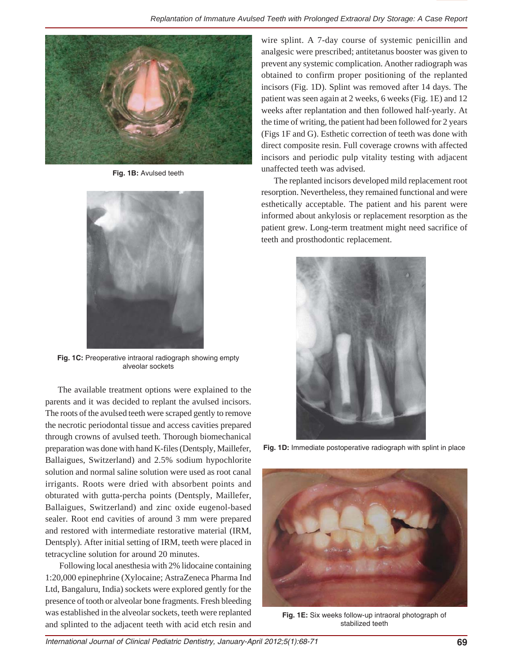

**Fig. 1B:** Avulsed teeth



**Fig. 1C:** Preoperative intraoral radiograph showing empty alveolar sockets

The available treatment options were explained to the parents and it was decided to replant the avulsed incisors. The roots of the avulsed teeth were scraped gently to remove the necrotic periodontal tissue and access cavities prepared through crowns of avulsed teeth. Thorough biomechanical preparation was done with hand K-files (Dentsply, Maillefer, Ballaigues, Switzerland) and 2.5% sodium hypochlorite solution and normal saline solution were used as root canal irrigants. Roots were dried with absorbent points and obturated with gutta-percha points (Dentsply, Maillefer, Ballaigues, Switzerland) and zinc oxide eugenol-based sealer. Root end cavities of around 3 mm were prepared and restored with intermediate restorative material (IRM, Dentsply). After initial setting of IRM, teeth were placed in tetracycline solution for around 20 minutes.

 Following local anesthesia with 2% lidocaine containing 1:20,000 epinephrine (Xylocaine; AstraZeneca Pharma Ind Ltd, Bangaluru, India) sockets were explored gently for the presence of tooth or alveolar bone fragments. Fresh bleeding was established in the alveolar sockets, teeth were replanted and splinted to the adjacent teeth with acid etch resin and

wire splint. A 7-day course of systemic penicillin and analgesic were prescribed; antitetanus booster was given to prevent any systemic complication. Another radiograph was obtained to confirm proper positioning of the replanted incisors (Fig. 1D). Splint was removed after 14 days. The patient was seen again at 2 weeks, 6 weeks (Fig. 1E) and 12 weeks after replantation and then followed half-yearly. At the time of writing, the patient had been followed for 2 years (Figs 1F and G). Esthetic correction of teeth was done with direct composite resin. Full coverage crowns with affected incisors and periodic pulp vitality testing with adjacent unaffected teeth was advised.

The replanted incisors developed mild replacement root resorption. Nevertheless, they remained functional and were esthetically acceptable. The patient and his parent were informed about ankylosis or replacement resorption as the patient grew. Long-term treatment might need sacrifice of teeth and prosthodontic replacement.



**Fig. 1D:** Immediate postoperative radiograph with splint in place



**Fig. 1E:** Six weeks follow-up intraoral photograph of stabilized teeth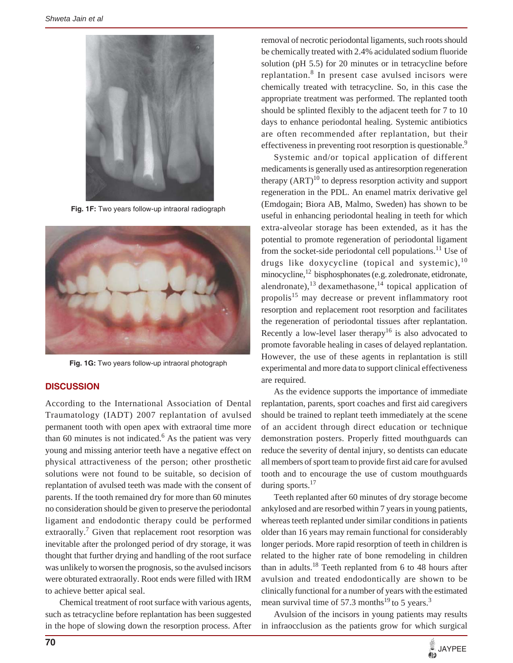

**Fig. 1F:** Two years follow-up intraoral radiograph



**Fig. 1G:** Two years follow-up intraoral photograph

#### **DISCUSSION**

According to the International Association of Dental Traumatology (IADT) 2007 replantation of avulsed permanent tooth with open apex with extraoral time more than 60 minutes is not indicated.<sup>6</sup> As the patient was very young and missing anterior teeth have a negative effect on physical attractiveness of the person; other prosthetic solutions were not found to be suitable, so decision of replantation of avulsed teeth was made with the consent of parents. If the tooth remained dry for more than 60 minutes no consideration should be given to preserve the periodontal ligament and endodontic therapy could be performed extraorally.<sup>7</sup> Given that replacement root resorption was inevitable after the prolonged period of dry storage, it was thought that further drying and handling of the root surface was unlikely to worsen the prognosis, so the avulsed incisors were obturated extraorally. Root ends were filled with IRM to achieve better apical seal.

 Chemical treatment of root surface with various agents, such as tetracycline before replantation has been suggested in the hope of slowing down the resorption process. After

removal of necrotic periodontal ligaments, such roots should be chemically treated with 2.4% acidulated sodium fluoride solution (pH 5.5) for 20 minutes or in tetracycline before replantation.<sup>8</sup> In present case avulsed incisors were chemically treated with tetracycline. So, in this case the appropriate treatment was performed. The replanted tooth should be splinted flexibly to the adjacent teeth for 7 to 10 days to enhance periodontal healing. Systemic antibiotics are often recommended after replantation, but their effectiveness in preventing root resorption is questionable.<sup>9</sup>

Systemic and/or topical application of different medicaments is generally used as antiresorption regeneration therapy  $(ART)^{10}$  to depress resorption activity and support regeneration in the PDL. An enamel matrix derivative gel (Emdogain; Biora AB, Malmo, Sweden) has shown to be useful in enhancing periodontal healing in teeth for which extra-alveolar storage has been extended, as it has the potential to promote regeneration of periodontal ligament from the socket-side periodontal cell populations.<sup>11</sup> Use of drugs like doxycycline (topical and systemic),  $10$ minocycline,<sup>12</sup> bisphosphonates (e.g. zoledronate, etidronate, alendronate), $^{13}$  dexamethasone, $^{14}$  topical application of propolis<sup>15</sup> may decrease or prevent inflammatory root resorption and replacement root resorption and facilitates the regeneration of periodontal tissues after replantation. Recently a low-level laser therapy<sup>16</sup> is also advocated to promote favorable healing in cases of delayed replantation. However, the use of these agents in replantation is still experimental and more data to support clinical effectiveness are required.

As the evidence supports the importance of immediate replantation, parents, sport coaches and first aid caregivers should be trained to replant teeth immediately at the scene of an accident through direct education or technique demonstration posters. Properly fitted mouthguards can reduce the severity of dental injury, so dentists can educate all members of sport team to provide first aid care for avulsed tooth and to encourage the use of custom mouthguards during sports.<sup>17</sup>

Teeth replanted after 60 minutes of dry storage become ankylosed and are resorbed within 7 years in young patients, whereas teeth replanted under similar conditions in patients older than 16 years may remain functional for considerably longer periods. More rapid resorption of teeth in children is related to the higher rate of bone remodeling in children than in adults.<sup>18</sup> Teeth replanted from 6 to 48 hours after avulsion and treated endodontically are shown to be clinically functional for a number of years with the estimated mean survival time of  $57.3$  months<sup>19</sup> to 5 years.<sup>3</sup>

Avulsion of the incisors in young patients may results in infraocclusion as the patients grow for which surgical